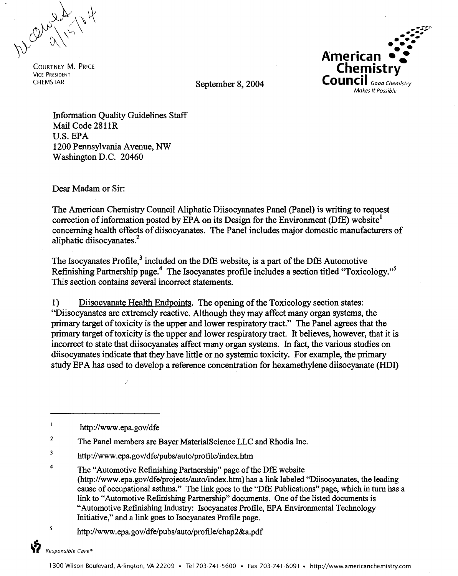Dear alley 4

VICE PRESIDENT



CHEMSTAR September 8, 2004

Information Quality Guidelines Staff Mail Code 2811R U.S. EPA 1200 Pennsylvania A venue, NW Washington D.C. 20460

Dear Madam or Sir:

The American Chemistry Council Aliphatic Diisocyanates Panel (Panel) is writing to request correction of information posted by EPA on its Design for the Environment (DfE) website<sup>1</sup> concerning health effects of diisocyanates. The Panel includes major domestic manufacturers of aliphatic diisocyanates.<sup>2</sup>

The Isocyanates Profile,<sup>3</sup> included on the DfE website, is a part of the DfE Automotive Refinishing Partnership page.<sup>4</sup> The Isocyanates profile includes a section titled "Toxicology."<sup>5</sup> This section contains several incorrect statements.

1) Diisocyanate Health Endpoints. The opening of the Toxicology section states: "Diisocyanates are extremely reactive. Although they may affect many organ systems, the primary target of toxicity is the upper and lower respiratory tract." The Panel agrees that the primary target of toxicity is the upper and lower respiratory tract. It believes, however, that it is incorrect to state that diisocyanates affect many organ systems. In fact, the various studies on diisocyanates indicate that they have little or no systemic toxicity. For example, the primary study EPA has used to develop a reference concentration for hexamethylene diisocyanate (HDI)

/

3 <http://www.epa.gov/dfe/pubs/auto/profile/index.htm>

*<sup>5</sup>*<http://www.epa.gov/dfe/pubs/auto/profile/chap2&a.pdf>

 $\mathbf{1}$ <http://www.epa.gov/dfe>

<sup>&</sup>lt;sup>2</sup> The Panel members are Bayer MaterialScience LLC and Rhodia Inc.

<sup>&</sup>lt;sup>4</sup> The "Automotive Refinishing Partnership" page of the DfE website ([http://www.epa.gov/dfe/projects/auto/index.htm\)](http://www.epa.gov/dfe/projects/auto/index.htm) has a link labeled "Diisocyanates, the leading cause of occupational asthma." The link goes to the "DfE Publications" page, which in turn has a link to "Automotive Refinishing Partnership" documents. One of the listed documents is "Automotive Refinishing Industry: Isocyanates Profile, EPA Environmental Technology Initiative," and a link goes to Isocyanates Profile page.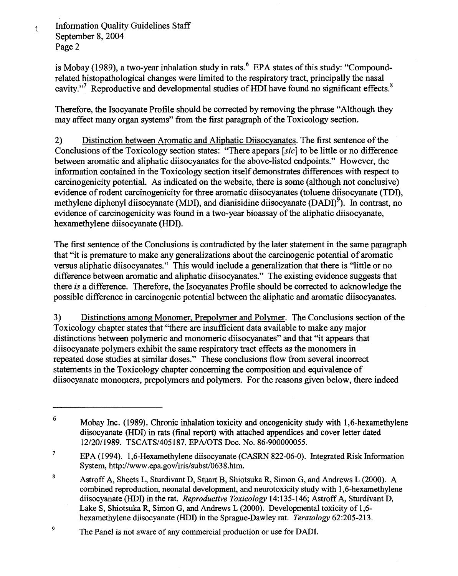$\overline{\mathbf{C}}$ 

is Mobay (1989), a two-year inhalation study in rats.  $6$  EPA states of this study: "Compoundrelated histopathological changes were limited to the respiratory tract, principally the nasal cavity."<sup>7</sup> Reproductive and developmental studies of HDI have found no significant effects.<sup>8</sup>

Therefore, the Isocyanate Profile should be corrected by removing the phrase "Although they may affect many organ systems" from the first paragraph of the Toxicology section.

2) Distinction between Aromatic and Aliphatic Diisocyanates. The first sentence of the Conclusions of the Toxicology section states: "There apepars [sic] to be little or no difference between aromatic and aliphatic diisocyanates for the above-listed endpoints." However, the information contained in the Toxicology section itself demonstrates differences with respect to carcinogenicity potential. As indicated on the website, there is some (although not conclusive) evidence of rodent carcinogenicity for three aromatic diisocyanates (toluene diisocyanate (TDI), methylene diphenyl diisocyanate (MDI), and dianisidine diisocyanate (DADI)<sup>9</sup>). In contrast, no evidence of carcinogenicity was found in a two-year bioassay ofthe aliphatic diisocyanate, hexamethylene diisocyanate (HDI).

The first sentence ofthe Conclusions is contradicted by the later statement in the same paragraph that "it is premature to make any generalizations about the carcinogenic potential of aromatic versus aliphatic diisocyanates." This would include a generalization that there is "little or no difference between aromatic and aliphatic diisocyanates." The existing evidence suggests that there is a difference. Therefore, the Isocyanates Profile should be corrected to acknowledge the possible difference in carcinogenic potential between the aliphatic and aromatic diisocyanates.

3) Distinctions among Monomer, Prepolymer and Polymer. The Conclusions section of the Toxicology chapter states that ''there are insufficient data available to make any major distinctions between polymeric and monomeric diisocyanates" and that "it appears that diisocyanate polymers exhibit the same respiratory tract effects as the monomers in repeated dose studies at similar doses." These conclusions flow from several incorrect statements in the Toxicology chapter concerning the composition and equivalence of diisocyanate monomers, prepolymers and polymers. For the reasons given below, there indeed

 $6$  Mobay Inc. (1989). Chronic inhalation toxicity and oncogenicity study with 1,6-hexamethylene diisocyanate (HDI) in rats (final report) with attached appendices and cover letter dated 12/20/1989. TSCATS/405187. EPA/OTS Doc. No. 86-900000055.

<sup>&</sup>lt;sup>7</sup> EPA (1994). 1,6-Hexamethylene diisocyanate (CASRN 822-06-0). Integrated Risk Information System, [http://www.epa.gov/iris/subst/0638.htm.](http://www.epa.gov/iris/subst/0638.htm)

<sup>8</sup> Astroff A, Sheets L, Sturdivant D, Stuart B, Shiotsuka R, Simon G, and Andrews L (2000). A combined reproduction, neonatal development, and neurotoxicity study with 1,6-hexamethylene diisocyanate (HDI) in the rat. *Reproductive Toxicology* 14:135-146; Astroff A, Sturdivant D, Lake S, Shiotsuka R, Simon G, and Andrews L (2000). Developmental toxicity of 1,6 hexamethylene diisocyanate (HDI) in the Sprague-Dawley rat. *Teratology* 62:205-213.

<sup>&</sup>lt;sup>9</sup> The Panel is not aware of any commercial production or use for DADI.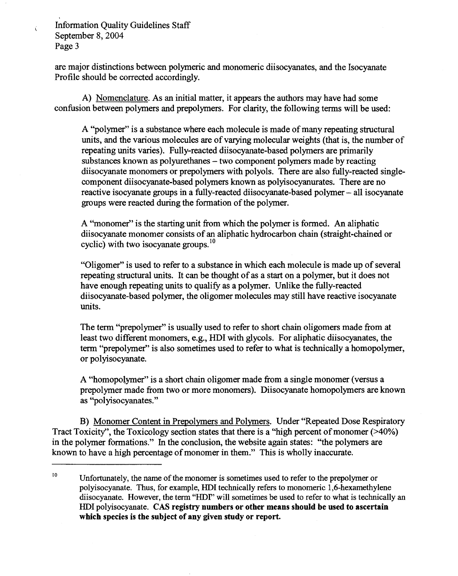$\vec{\zeta}$ 

are major distinctions between polymeric and monomeric diisocyanates, and the Isocyanate Profile should be corrected accordingly.

A) Nomenclature. As an initial matter, it appears the authors may have had some confusion between polymers and prepolymers. For clarity, the following terms will be used:

A "polymer" is a substance where each molecule is made of many repeating structural units, and the various molecules are of varying molecular weights (that is, the number of repeating units varies). Fully-reacted diisocyanate-based polymers are primarily substances known as polyurethanes – two component polymers made by reacting diisocyanate monomers or prepolymers with polyols. There are also fully-reacted singlecomponent diisocyanate-based polymers known as polyisocyanurates. There are no reactive isocyanate groups in a fully-reacted diisocyanate-based polymer – all isocyanate groups were reacted during the formation of the polymer.

A "monomer" is the starting unit from which the polymer is formed. An aliphatic diisocyanate monomer consists of an aliphatic hydrocarbon chain (straight-chained or cyclic) with two isocyanate [groups.](https://groups.10)<sup>10</sup>

"Oligomer" is used to refer to a substance in which each molecule is made up of several repeating structural units. It can be thought of as a start on a polymer, but it does not have enough repeating units to qualify as a polymer. Unlike the fully-reacted diisocyanate-based polymer, the oligomer molecules may still have reactive isocyanate units.

The term "prepolymer" is usually used to refer to short chain oligomers made from at least two different monomers, e.g., HDI with glycols. For aliphatic diisocyanates, the term "prepolymer" is also sometimes used to refer to what is technically a homopolymer, or polyisocyanate.

A "homopo\ymer" is a short chain oligomer made from a single monomer (versus a prepolymer made from two or more monomers). Diisocyanate homopolymers are known as "polyisocyanates."

B) Monomer Content in Prepolymers and Polymers. Under "Repeated Dose Respiratory Tract Toxicity", the Toxicology section states that there is a "high percent of monomer  $($ >40%) in the polymer formations." In the conclusion, the website again states: "the polymers are known to have a high percentage of monomer in them." This is wholly inaccurate.

Unfortunately, the name of the monomer is sometimes used to refer to the prepolymer or polyisocyanate. Thus, for example, HDI technically refers to monomeric 1,6-hexamethylene diisocyanate. However, the term "HDf' will sometimes be used to refer to what is technically an HDI polyisocyanate. CAS registry numbers or other means should be used to ascertain which species is the subject of any given study or report. 10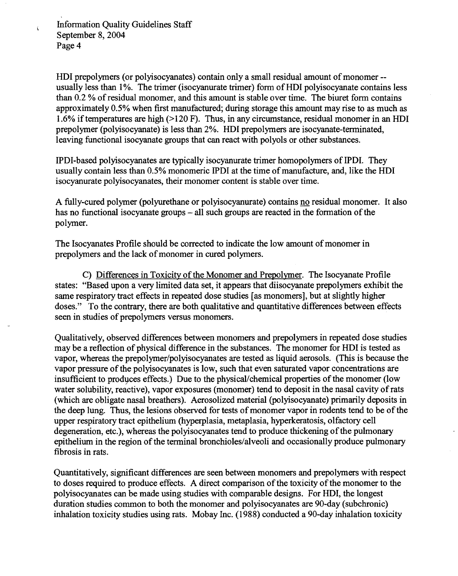$\zeta$ 

HDI prepolymers (or polyisocyanates) contain only a small residual amount of monomer-usually less than 1%. The trimer (isocyanurate trimer) form of HDI polyisocyanate contains less than 0.2 % ofresidual monomer, and this amount is stable over time. The biuret form contains approximately 0.5% when first manufactured; during storage this amount may rise to as much as 1.6% iftemperatures are high(>120 F). Thus, in any circumstance, residual monomer in an HDI prepolymer (polyisocyanate) is less than 2%. HDI prepolymers are isocyanate-terminated, leaving functional isocyanate groups that can react with polyols or other substances.

IPDI-based polyisocyanates are typically isocyanurate trimer homopolymers ofIPDI. They usually contain less than 0.5% monomeric IPDI at the time of manufacture, and, like the HDI isocyanurate polyisocyanates, their monomer content is stable over time.

A fully-cured polymer (polyurethane or polyisocyanurate) contains no residual monomer. It also has no functional isocyanate groups - all such groups are reacted in the formation of the polymer.

The Isocyanates Profile should be corrected to indicate the low amount of monomer in prepolymers and the lack of monomer in cured polymers.

C) Differences in Toxicity of the Monomer and Prepolymer. The Isocyanate Profile states: "Based upon a very limited data set, it appears that diisocyanate prepolymers exhibit the same respiratory tract effects in repeated dose studies [as monomers], but at slightly higher doses." To the contrary, there are both qualitative and quantitative differences between effects seen in studies of prepolymers versus monomers.

Qualitatively, observed differences between monomers and prepolymers in repeated dose studies may be a reflection of physical difference in the substances. The monomer for HDI is tested as vapor, whereas the prepolymer/polyisocyanates are tested as liquid aerosols. (This is because the vapor pressure of the polyisocyanates is low, such that even saturated vapor concentrations are insufficient to produces effects.) Due to the physical/chemical properties of the monomer (low water solubility, reactive), vapor exposures (monomer) tend to deposit in the nasal cavity ofrats (which are obligate nasal breathers). Aerosolized material (polyisocyanate) primarily deposits in the deep lung. Thus, the lesions observed for tests of monomer vapor in rodents tend to be of the upper respiratory tract epithelium (hyperplasia, metaplasia, hyperkeratosis, olfactory cell degeneration, etc.), whereas the polyisocyanates tend to produce thickening of the pulmonary epithelium in the region of the terminal bronchioles/alveoli and occasionally produce pulmonary fibrosis in rats.

Quantitatively, significant differences are seen between monomers and prepolymers with respect to doses required to produce effects. A direct comparison of the toxicity of the monomer to the polyisocyanates can be made using studies with comparable designs. For HDI, the longest duration studies common to both the monomer and polyisocyanates are 90-day (subchronic) inhalation toxicity studies using rats. Mobay Inc. (1988) conducted a 90-day inhalation toxicity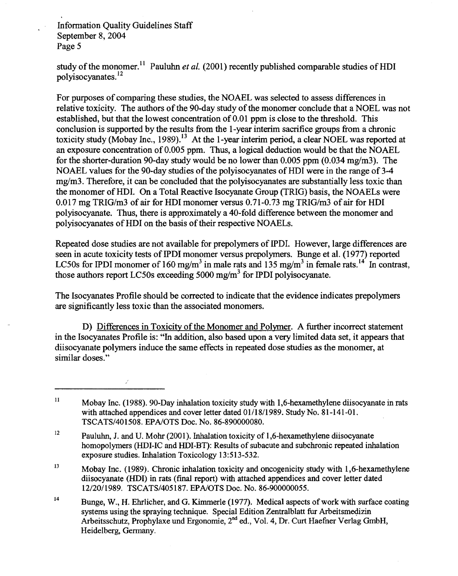Ź

study of the monomer.<sup>11</sup> Pauluhn *et al.* (2001) recently published comparable studies of HDI polyisocyanates. <sup>12</sup>

For purposes of comparing these studies, the NOAEL was selected to assess differences in relative toxicity. The authors of the 90-day study of the monomer conclude that a NOEL was not established, but that the lowest concentration of 0.01 ppm is close to the threshold. This conclusion is supported by the results from the 1-year interim sacrifice groups from a chronic toxicity study (Mobay Inc., 1989).<sup>13</sup> At the 1-year interim period, a clear NOEL was reported at an exposure concentration of  $0.005$  ppm. Thus, a logical deduction would be that the NOAEL for the shorter-duration 90-day study would be no lower than 0.005 ppm  $(0.034 \text{ mg/m3})$ . The NOAEL values for the 90-day studies of the polyisocyanates of HDI were in the range of 3-4 mg/m3. Therefore, it can be concluded that the polyisocyanates are substantially less toxic than the monomer ofHDI. On a Total Reactive Isocyanate Group (TRIG) basis, the NOAELs were 0.017 mg TRIG/m3 of air for HDI monomer versus [0.71-0.73](https://0.71-0.73) mg TRIG/m3 of air for HDI polyisocyanate. Thus, there is approximately a 40-fold difference between the monomer and polyisocyanates of HDI on the basis of their respective NOAELs.

Repeated dose studies are not available for prepolymers of IPDI. However, large differences are seen in acute toxicity tests of IPDI monomer versus prepolymers. Bunge et al. (1977) reported LC50s for IPDI monomer of 160 mg/m<sup>3</sup> in male rats and 135 mg/m<sup>3</sup> in female rats.<sup>14</sup> In contrast, those authors report LC50s exceeding 5000 mg/m<sup>3</sup> for IPDI polyisocyanate.

The Isocyanates Profile should be corrected to indicate that the evidence indicates prepolymers are significantly less toxic than the associated monomers.

D) Differences in Toxicity of the Monomer and Polymer. A further incorrect statement in the Isocyanates Profile is: "In addition, also based upon a very limited data set, it appears that diisocyanate polymers induce the same effects in repeated dose studies as the monomer, at similar doses."

 $11$  Mobay Inc. (1988). 90-Day inhalation toxicity study with 1,6-hexamethylene diisocyanate in rats with attached appendices and cover letter dated 01/18/1989. Study No. 81-141-01. TSCATS/401508. EPA/OTS Doc. No. 86-890000080.

<sup>&</sup>lt;sup>12</sup> Pauluhn, J. and U. Mohr (2001). Inhalation toxicity of 1,6-hexamethylene diisocyanate homopolymers (HDI-IC and HDI-BT): Results of subacute and subchronic repeated inhalation exposure studies. Inhalation Toxicology 13:513-532.

<sup>&</sup>lt;sup>13</sup> Mobay Inc. (1989). Chronic inhalation toxicity and oncogenicity study with 1,6-hexamethylene diisocyanate (HDI) in rats (final report) with attached appendices and cover letter dated 12/20/1989. TSCATS/405187. EPA/OTS Doc. No. 86-900000055.

<sup>&</sup>lt;sup>14</sup> Bunge, W., H. Ehrlicher, and G. Kimmerle (1977). Medical aspects of work with surface coating systems using the spraying technique. Special Edition Zentralblatt fur Arbeitsmedizin Arbeitsschutz, Prophylaxe und Ergonomie, 2<sup>nd</sup> ed., Vol. 4, Dr. Curt Haefner Verlag GmbH, Heidelberg, Germany.